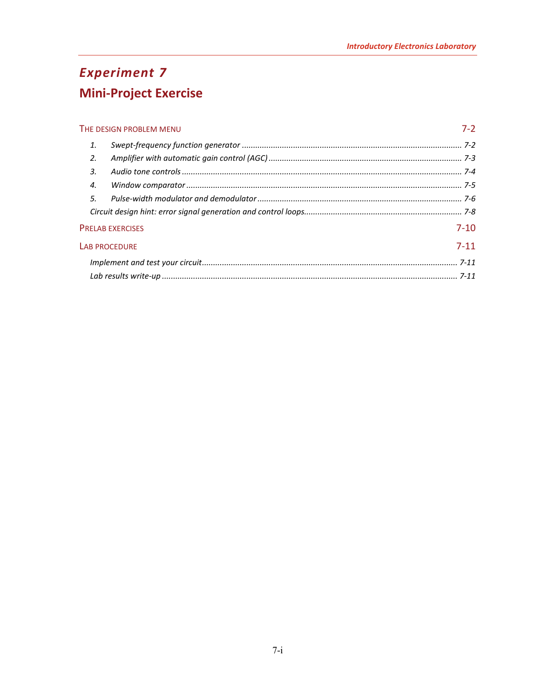# **Experiment 7 Mini-Project Exercise**

| THE DESIGN PROBLEM MENU |  | $7-2$    |
|-------------------------|--|----------|
| 1.                      |  |          |
| 2.                      |  |          |
| 3.                      |  |          |
| 4.                      |  |          |
| 5                       |  |          |
|                         |  |          |
| <b>PRELAB EXERCISES</b> |  | $7 - 10$ |
| <b>LAB PROCEDURE</b>    |  | $7 - 11$ |
|                         |  |          |
|                         |  |          |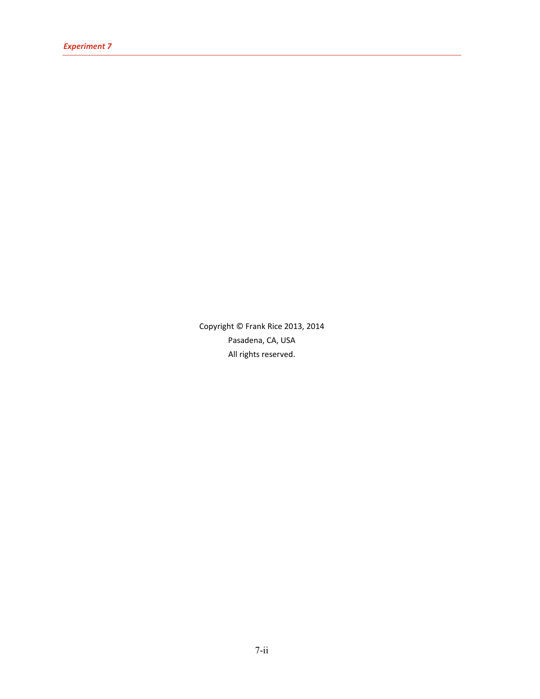Copyright © Frank Rice 2013, 2014 Pasadena, CA, USA All rights reserved.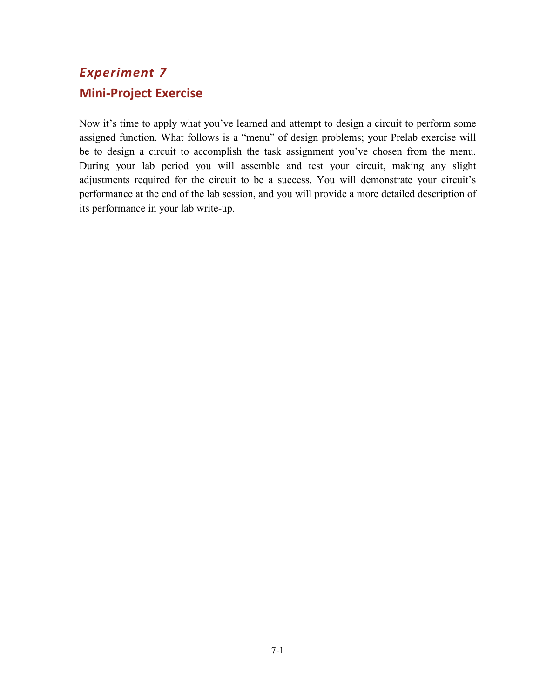## <span id="page-2-0"></span>*Experiment 7* **Mini-Project Exercise**

Now it's time to apply what you've learned and attempt to design a circuit to perform some assigned function. What follows is a "menu" of design problems; your Prelab exercise will be to design a circuit to accomplish the task assignment you've chosen from the menu. During your lab period you will assemble and test your circuit, making any slight adjustments required for the circuit to be a success. You will demonstrate your circuit's performance at the end of the lab session, and you will provide a more detailed description of its performance in your lab write-up.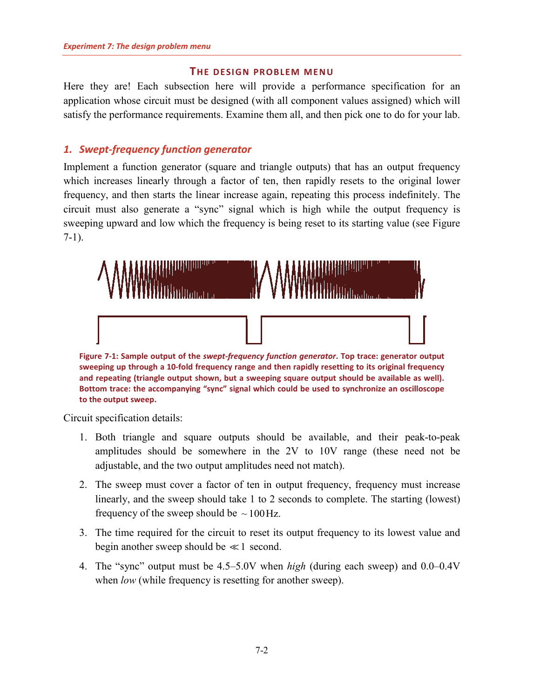#### **THE DESIGN PROBLEM MENU**

<span id="page-3-0"></span>Here they are! Each subsection here will provide a performance specification for an application whose circuit must be designed (with all component values assigned) which will satisfy the performance requirements. Examine them all, and then pick one to do for your lab.

## <span id="page-3-1"></span>*1. Swept-frequency function generator*

Implement a function generator (square and triangle outputs) that has an output frequency which increases linearly through a factor of ten, then rapidly resets to the original lower frequency, and then starts the linear increase again, repeating this process indefinitely. The circuit must also generate a "sync" signal which is high while the output frequency is sweeping upward and low which the frequency is being reset to its starting value (see [Figure](#page-3-2)  [7-1\)](#page-3-2).



**sweeping up through a 10-fold frequency range and then rapidly resetting to its original frequency and repeating (triangle output shown, but a sweeping square output should be available as well). Bottom trace: the accompanying "sync" signal which could be used to synchronize an oscilloscope to the output sweep.**

<span id="page-3-2"></span>Circuit specification details:

- 1. Both triangle and square outputs should be available, and their peak-to-peak amplitudes should be somewhere in the 2V to 10V range (these need not be adjustable, and the two output amplitudes need not match).
- 2. The sweep must cover a factor of ten in output frequency, frequency must increase linearly, and the sweep should take 1 to 2 seconds to complete. The starting (lowest) frequency of the sweep should be  $\sim 100$  Hz.
- 3. The time required for the circuit to reset its output frequency to its lowest value and begin another sweep should be  $\ll 1$  second.
- 4. The "sync" output must be 4.5–5.0V when *high* (during each sweep) and 0.0–0.4V when *low* (while frequency is resetting for another sweep).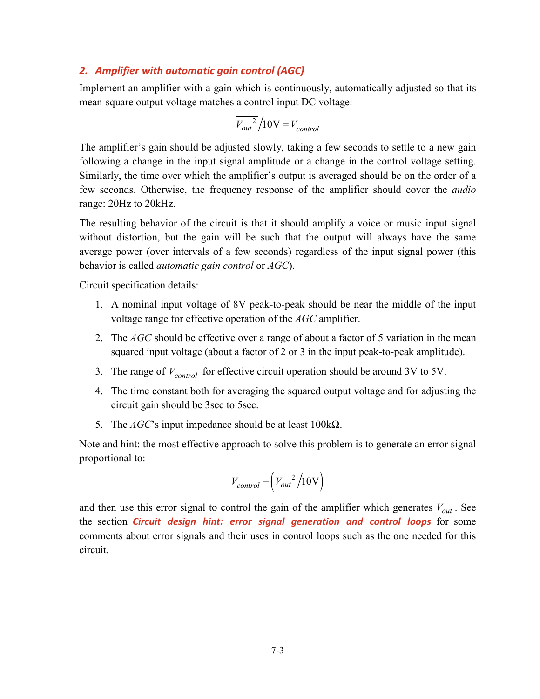#### <span id="page-4-0"></span>*2. Amplifier with automatic gain control (AGC)*

Implement an amplifier with a gain which is continuously, automatically adjusted so that its mean-square output voltage matches a control input DC voltage:

$$
\overline{V_{out}^2}/10V = V_{control}
$$

The amplifier's gain should be adjusted slowly, taking a few seconds to settle to a new gain following a change in the input signal amplitude or a change in the control voltage setting. Similarly, the time over which the amplifier's output is averaged should be on the order of a few seconds. Otherwise, the frequency response of the amplifier should cover the *audio* range: 20Hz to 20kHz.

The resulting behavior of the circuit is that it should amplify a voice or music input signal without distortion, but the gain will be such that the output will always have the same average power (over intervals of a few seconds) regardless of the input signal power (this behavior is called *automatic gain control* or *AGC*).

Circuit specification details:

- 1. A nominal input voltage of 8V peak-to-peak should be near the middle of the input voltage range for effective operation of the *AGC* amplifier.
- 2. The *AGC* should be effective over a range of about a factor of 5 variation in the mean squared input voltage (about a factor of 2 or 3 in the input peak-to-peak amplitude).
- 3. The range of  $V_{control}$  for effective circuit operation should be around 3V to 5V.
- 4. The time constant both for averaging the squared output voltage and for adjusting the circuit gain should be 3sec to 5sec.
- 5. The *AGC*'s input impedance should be at least 100kΩ.

Note and hint: the most effective approach to solve this problem is to generate an error signal proportional to:

$$
V_{control} - \left(\overline{V_{out}^2}/10V\right)
$$

and then use this error signal to control the gain of the amplifier which generates  $V_{out}$ . See the section *[Circuit design hint: error signal generation and control loops](#page-9-0)* for some comments about error signals and their uses in control loops such as the one needed for this circuit.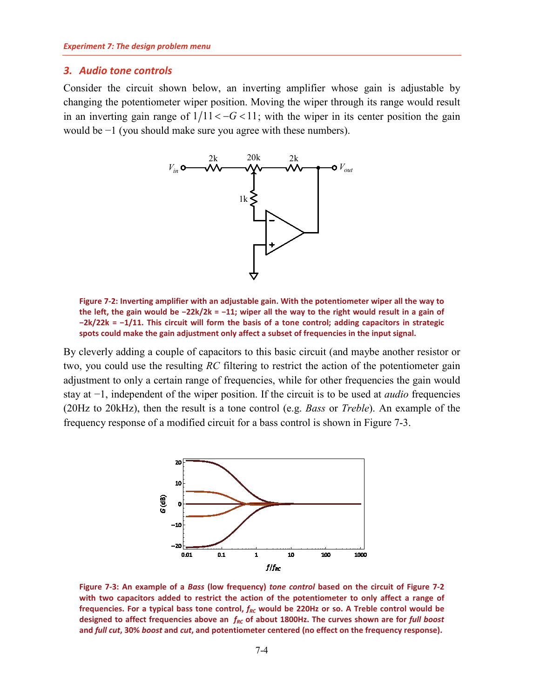#### <span id="page-5-0"></span>*3. Audio tone controls*

Consider the circuit shown below, an inverting amplifier whose gain is adjustable by changing the potentiometer wiper position. Moving the wiper through its range would result in an inverting gain range of  $1/11 < -G < 11$ ; with the wiper in its center position the gain would be −1 (you should make sure you agree with these numbers).



<span id="page-5-2"></span>**Figure 7-2: Inverting amplifier with an adjustable gain. With the potentiometer wiper all the way to the left, the gain would be −22k/2k = −11; wiper all the way to the right would result in a gain of −2k/22k = −1/11. This circuit will form the basis of a tone control; adding capacitors in strategic spots could make the gain adjustment only affect a subset of frequencies in the input signal.**

By cleverly adding a couple of capacitors to this basic circuit (and maybe another resistor or two, you could use the resulting *RC* filtering to restrict the action of the potentiometer gain adjustment to only a certain range of frequencies, while for other frequencies the gain would stay at −1, independent of the wiper position. If the circuit is to be used at *audio* frequencies (20Hz to 20kHz), then the result is a tone control (e.g. *Bass* or *Treble*). An example of the frequency response of a modified circuit for a bass control is shown in [Figure 7-3.](#page-5-1)



<span id="page-5-1"></span>**Figure 7-3: An example of a** *Bass* **(low frequency)** *tone control* **based on the circuit of [Figure 7-2](#page-5-2) with two capacitors added to restrict the action of the potentiometer to only affect a range of**  frequencies. For a typical bass tone control,  $f_{RC}$  would be 220Hz or so. A Treble control would be designed to affect frequencies above an  $f_{RC}$  of about 1800Hz. The curves shown are for *full boost* **and** *full cut***, 30%** *boost* **and** *cut***, and potentiometer centered (no effect on the frequency response).**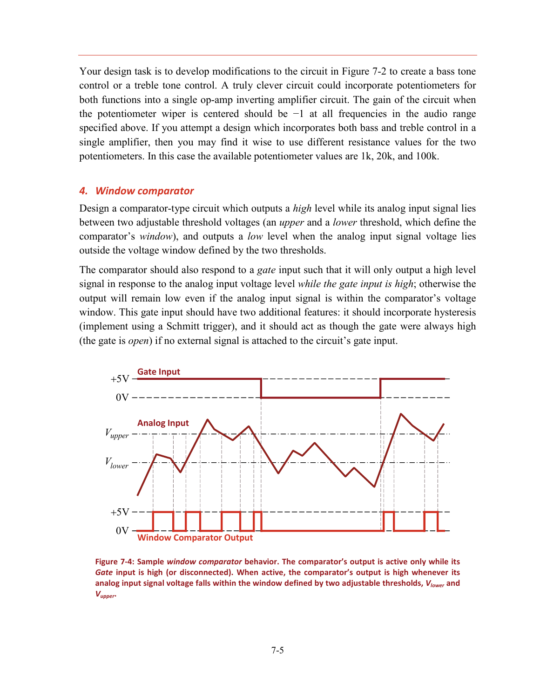Your design task is to develop modifications to the circuit in [Figure 7-2](#page-5-2) to create a bass tone control or a treble tone control. A truly clever circuit could incorporate potentiometers for both functions into a single op-amp inverting amplifier circuit. The gain of the circuit when the potentiometer wiper is centered should be −1 at all frequencies in the audio range specified above. If you attempt a design which incorporates both bass and treble control in a single amplifier, then you may find it wise to use different resistance values for the two potentiometers. In this case the available potentiometer values are 1k, 20k, and 100k.

#### <span id="page-6-0"></span>*4. Window comparator*

Design a comparator-type circuit which outputs a *high* level while its analog input signal lies between two adjustable threshold voltages (an *upper* and a *lower* threshold, which define the comparator's *window*), and outputs a *low* level when the analog input signal voltage lies outside the voltage window defined by the two thresholds.

The comparator should also respond to a *gate* input such that it will only output a high level signal in response to the analog input voltage level *while the gate input is high*; otherwise the output will remain low even if the analog input signal is within the comparator's voltage window. This gate input should have two additional features: it should incorporate hysteresis (implement using a Schmitt trigger), and it should act as though the gate were always high (the gate is *open*) if no external signal is attached to the circuit's gate input.



<span id="page-6-1"></span>**Figure 7-4: Sample** *window comparator* **behavior. The comparator's output is active only while its**  *Gate* **input is high (or disconnected). When active, the comparator's output is high whenever its analog input signal voltage falls within the window defined by two adjustable thresholds,** *Vlower* **and**  *Vupper***.**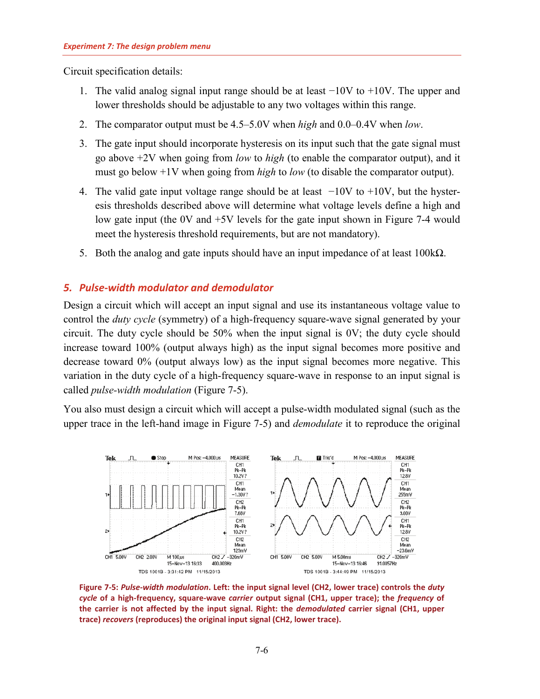Circuit specification details:

- 1. The valid analog signal input range should be at least −10V to +10V. The upper and lower thresholds should be adjustable to any two voltages within this range.
- 2. The comparator output must be 4.5–5.0V when *high* and 0.0–0.4V when *low*.
- 3. The gate input should incorporate hysteresis on its input such that the gate signal must go above +2V when going from *low* to *high* (to enable the comparator output), and it must go below +1V when going from *high* to *low* (to disable the comparator output).
- 4. The valid gate input voltage range should be at least −10V to +10V, but the hysteresis thresholds described above will determine what voltage levels define a high and low gate input (the 0V and +5V levels for the gate input shown in [Figure 7-4](#page-6-1) would meet the hysteresis threshold requirements, but are not mandatory).
- 5. Both the analog and gate inputs should have an input impedance of at least  $100k\Omega$ .

## <span id="page-7-0"></span>*5. Pulse-width modulator and demodulator*

Design a circuit which will accept an input signal and use its instantaneous voltage value to control the *duty cycle* (symmetry) of a high-frequency square-wave signal generated by your circuit. The duty cycle should be 50% when the input signal is 0V; the duty cycle should increase toward 100% (output always high) as the input signal becomes more positive and decrease toward 0% (output always low) as the input signal becomes more negative. This variation in the duty cycle of a high-frequency square-wave in response to an input signal is called *pulse-width modulation* [\(Figure 7-5\)](#page-7-1).

You also must design a circuit which will accept a pulse-width modulated signal (such as the upper trace in the left-hand image in [Figure 7-5\)](#page-7-1) and *demodulate* it to reproduce the original



<span id="page-7-1"></span>**Figure 7-5:** *Pulse-width modulation***. Left: the input signal level (CH2, lower trace) controls the** *duty cycle* **of a high-frequency, square-wave** *carrier* **output signal (CH1, upper trace); the** *frequency* **of the carrier is not affected by the input signal. Right: the** *demodulated* **carrier signal (CH1, upper trace)** *recovers* **(reproduces) the original input signal (CH2, lower trace).**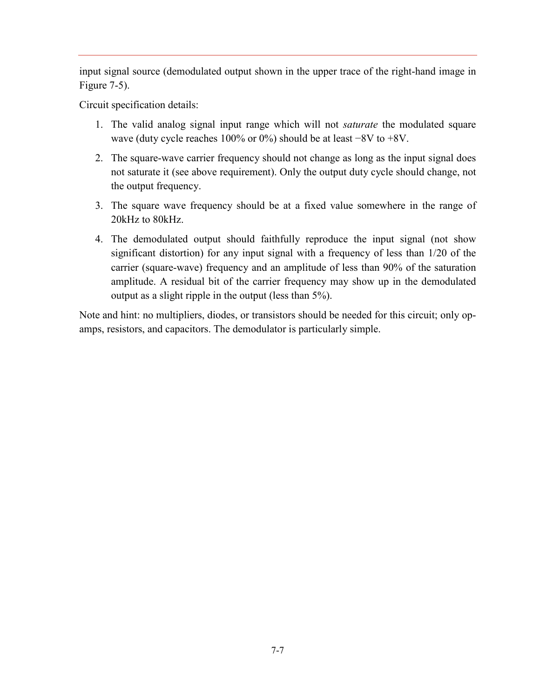input signal source (demodulated output shown in the upper trace of the right-hand image in [Figure 7-5\)](#page-7-1).

Circuit specification details:

- 1. The valid analog signal input range which will not *saturate* the modulated square wave (duty cycle reaches 100% or 0%) should be at least −8V to +8V.
- 2. The square-wave carrier frequency should not change as long as the input signal does not saturate it (see above requirement). Only the output duty cycle should change, not the output frequency.
- 3. The square wave frequency should be at a fixed value somewhere in the range of 20kHz to 80kHz.
- 4. The demodulated output should faithfully reproduce the input signal (not show significant distortion) for any input signal with a frequency of less than 1/20 of the carrier (square-wave) frequency and an amplitude of less than 90% of the saturation amplitude. A residual bit of the carrier frequency may show up in the demodulated output as a slight ripple in the output (less than 5%).

Note and hint: no multipliers, diodes, or transistors should be needed for this circuit; only opamps, resistors, and capacitors. The demodulator is particularly simple.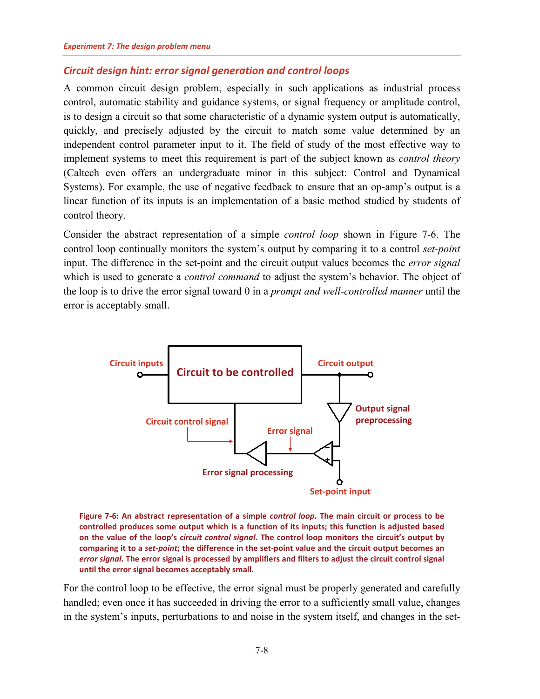## <span id="page-9-0"></span>*Circuit design hint: error signal generation and control loops*

A common circuit design problem, especially in such applications as industrial process control, automatic stability and guidance systems, or signal frequency or amplitude control, is to design a circuit so that some characteristic of a dynamic system output is automatically, quickly, and precisely adjusted by the circuit to match some value determined by an independent control parameter input to it. The field of study of the most effective way to implement systems to meet this requirement is part of the subject known as *control theory* (Caltech even offers an undergraduate minor in this subject: Control and Dynamical Systems). For example, the use of negative feedback to ensure that an op-amp's output is a linear function of its inputs is an implementation of a basic method studied by students of control theory.

Consider the abstract representation of a simple *control loop* shown in [Figure 7-6.](#page-9-1) The control loop continually monitors the system's output by comparing it to a control *set-point* input. The difference in the set-point and the circuit output values becomes the *error signal* which is used to generate a *control command* to adjust the system's behavior. The object of the loop is to drive the error signal toward 0 in a *prompt and well-controlled manner* until the error is acceptably small.



<span id="page-9-1"></span>**Figure 7-6: An abstract representation of a simple** *control loop***. The main circuit or process to be controlled produces some output which is a function of its inputs; this function is adjusted based on the value of the loop's** *circuit control signal***. The control loop monitors the circuit's output by comparing it to a** *set-point***; the difference in the set-point value and the circuit output becomes an**  *error signal***. The error signal is processed by amplifiers and filters to adjust the circuit control signal until the error signal becomes acceptably small.**

For the control loop to be effective, the error signal must be properly generated and carefully handled; even once it has succeeded in driving the error to a sufficiently small value, changes in the system's inputs, perturbations to and noise in the system itself, and changes in the set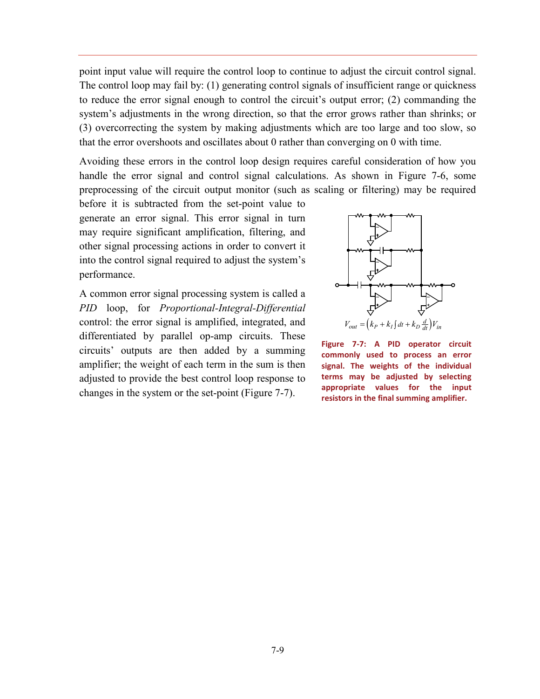point input value will require the control loop to continue to adjust the circuit control signal. The control loop may fail by: (1) generating control signals of insufficient range or quickness to reduce the error signal enough to control the circuit's output error; (2) commanding the system's adjustments in the wrong direction, so that the error grows rather than shrinks; or (3) overcorrecting the system by making adjustments which are too large and too slow, so that the error overshoots and oscillates about 0 rather than converging on 0 with time.

Avoiding these errors in the control loop design requires careful consideration of how you handle the error signal and control signal calculations. As shown in [Figure 7-6,](#page-9-1) some preprocessing of the circuit output monitor (such as scaling or filtering) may be required

before it is subtracted from the set-point value to generate an error signal. This error signal in turn may require significant amplification, filtering, and other signal processing actions in order to convert it into the control signal required to adjust the system's performance.

A common error signal processing system is called a *PID* loop, for *Proportional-Integral-Differential* control: the error signal is amplified, integrated, and differentiated by parallel op-amp circuits. These circuits' outputs are then added by a summing amplifier; the weight of each term in the sum is then adjusted to provide the best control loop response to changes in the system or the set-point [\(Figure 7-7\)](#page-10-0).



<span id="page-10-0"></span>**Figure 7-7: A PID operator circuit commonly used to process an error signal. The weights of the individual terms may be adjusted by selecting appropriate values for the input resistors in the final summing amplifier.**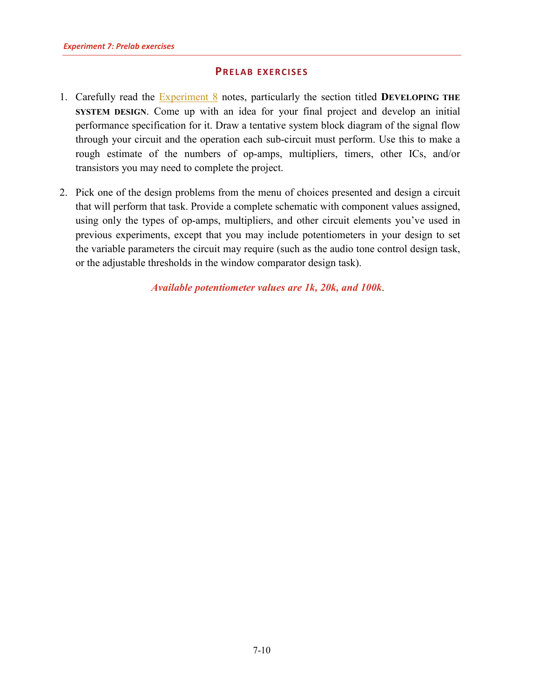## **PRELAB EXERCISES**

- <span id="page-11-0"></span>1. Carefully read the [Experiment 8](http://www.sophphx.caltech.edu/Physics_5/Experiment_8.pdf) notes, particularly the section titled **DEVELOPING THE SYSTEM DESIGN.** Come up with an idea for your final project and develop an initial performance specification for it. Draw a tentative system block diagram of the signal flow through your circuit and the operation each sub-circuit must perform. Use this to make a rough estimate of the numbers of op-amps, multipliers, timers, other ICs, and/or transistors you may need to complete the project.
- 2. Pick one of the design problems from the menu of choices presented and design a circuit that will perform that task. Provide a complete schematic with component values assigned, using only the types of op-amps, multipliers, and other circuit elements you've used in previous experiments, except that you may include potentiometers in your design to set the variable parameters the circuit may require (such as the audio tone control design task, or the adjustable thresholds in the window comparator design task).

*Available potentiometer values are 1k, 20k, and 100k*.